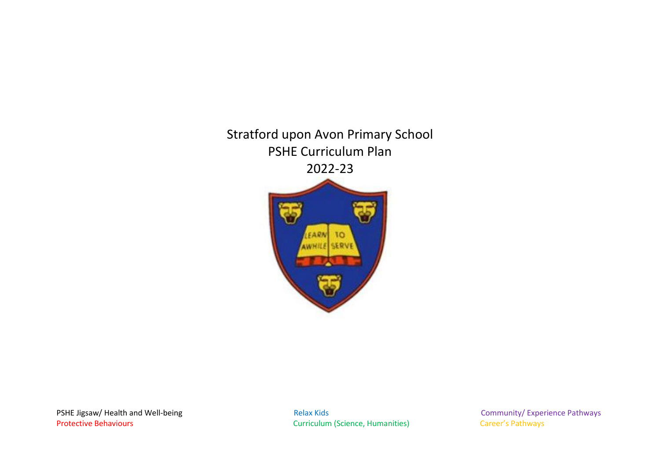Stratford upon Avon Primary School PSHE Curriculum Plan 2022-23



PSHE Jigsaw/ Health and Well-being extending the Relax Kids Relax Kids Community/ Experience Pathways Protective Behaviours **Curriculum (Science, Humanities)** Career's Pathways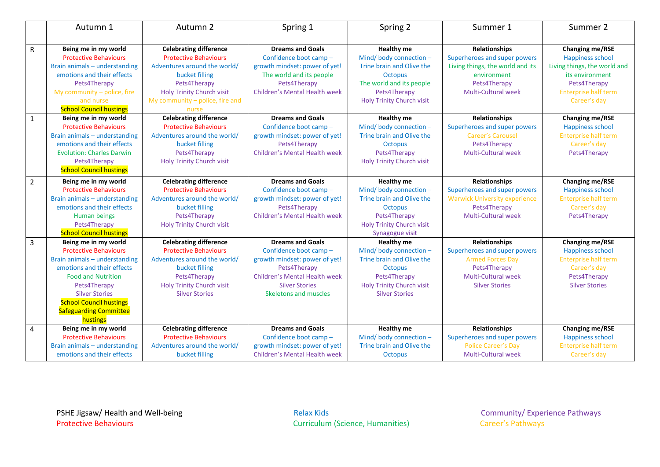|                | Autumn 1                                                | Autumn 2                                                      | Spring 1                                          | Spring 2                                                  | Summer 1                                             | Summer 2                                   |
|----------------|---------------------------------------------------------|---------------------------------------------------------------|---------------------------------------------------|-----------------------------------------------------------|------------------------------------------------------|--------------------------------------------|
|                |                                                         |                                                               |                                                   |                                                           |                                                      |                                            |
| $\mathsf{R}$   | Being me in my world<br><b>Protective Behaviours</b>    | <b>Celebrating difference</b><br><b>Protective Behaviours</b> | <b>Dreams and Goals</b><br>Confidence boot camp - | <b>Healthy me</b><br>Mind/body connection-                | <b>Relationships</b><br>Superheroes and super powers | <b>Changing me/RSE</b><br>Happiness school |
|                | Brain animals - understanding                           | Adventures around the world/                                  | growth mindset: power of yet!                     | Trine brain and Olive the                                 | Living things, the world and its                     | Living things, the world and               |
|                | emotions and their effects                              | bucket filling                                                | The world and its people                          | <b>Octopus</b>                                            | environment                                          | its environment                            |
|                | Pets4Therapy                                            | Pets4Therapy                                                  | Pets4Therapy                                      | The world and its people                                  | Pets4Therapy                                         | Pets4Therapy                               |
|                | My community $-$ police, fire                           | <b>Holy Trinity Church visit</b>                              | <b>Children's Mental Health week</b>              | Pets4Therapy                                              | Multi-Cultural week                                  | <b>Enterprise half term</b>                |
|                | and nurse                                               | My community - police, fire and                               |                                                   | <b>Holy Trinity Church visit</b>                          |                                                      | Career's day                               |
|                | <b>School Council hustings</b>                          | nurse                                                         |                                                   |                                                           |                                                      |                                            |
| $\mathbf{1}$   | Being me in my world                                    | <b>Celebrating difference</b>                                 | <b>Dreams and Goals</b>                           | <b>Healthy me</b>                                         | <b>Relationships</b>                                 | <b>Changing me/RSE</b>                     |
|                | <b>Protective Behaviours</b>                            | <b>Protective Behaviours</b>                                  | Confidence boot camp -                            | Mind/ body connection -                                   | Superheroes and super powers                         | Happiness school                           |
|                | Brain animals - understanding                           | Adventures around the world/                                  | growth mindset: power of yet!                     | Trine brain and Olive the                                 | <b>Career's Carousel</b>                             | <b>Enterprise half term</b>                |
|                | emotions and their effects                              | bucket filling                                                | Pets4Therapy                                      | <b>Octopus</b>                                            | Pets4Therapy                                         | Career's day                               |
|                | <b>Evolution: Charles Darwin</b>                        | Pets4Therapy                                                  | <b>Children's Mental Health week</b>              | Pets4Therapy                                              | <b>Multi-Cultural week</b>                           | Pets4Therapy                               |
|                | Pets4Therapy                                            | <b>Holy Trinity Church visit</b>                              |                                                   | <b>Holy Trinity Church visit</b>                          |                                                      |                                            |
|                | <b>School Council hustings</b>                          |                                                               |                                                   |                                                           |                                                      |                                            |
| 2              | Being me in my world                                    | <b>Celebrating difference</b>                                 | <b>Dreams and Goals</b>                           | <b>Healthy me</b>                                         | <b>Relationships</b>                                 | <b>Changing me/RSE</b>                     |
|                | <b>Protective Behaviours</b>                            | <b>Protective Behaviours</b>                                  | Confidence boot camp -                            | Mind/body connection-                                     | Superheroes and super powers                         | Happiness school                           |
|                | Brain animals - understanding                           | Adventures around the world/                                  | growth mindset: power of yet!                     | Trine brain and Olive the                                 | <b>Warwick University experience</b>                 | <b>Enterprise half term</b>                |
|                | emotions and their effects                              | bucket filling                                                | Pets4Therapy                                      | <b>Octopus</b>                                            | Pets4Therapy                                         | Career's day                               |
|                | Human beings                                            | Pets4Therapy                                                  | <b>Children's Mental Health week</b>              | Pets4Therapy                                              | <b>Multi-Cultural week</b>                           | Pets4Therapy                               |
|                | Pets4Therapy                                            | <b>Holy Trinity Church visit</b>                              |                                                   | <b>Holy Trinity Church visit</b>                          |                                                      |                                            |
|                | <b>School Council hustings</b>                          |                                                               |                                                   | Synagogue visit                                           |                                                      |                                            |
| $\overline{3}$ | Being me in my world                                    | <b>Celebrating difference</b>                                 | <b>Dreams and Goals</b>                           | <b>Healthy me</b>                                         | <b>Relationships</b>                                 | <b>Changing me/RSE</b>                     |
|                | <b>Protective Behaviours</b>                            | <b>Protective Behaviours</b>                                  | Confidence boot camp -                            | Mind/body connection-                                     | Superheroes and super powers                         | Happiness school                           |
|                | Brain animals - understanding                           | Adventures around the world/                                  | growth mindset: power of yet!                     | Trine brain and Olive the                                 | <b>Armed Forces Day</b>                              | <b>Enterprise half term</b>                |
|                | emotions and their effects                              | bucket filling                                                | Pets4Therapy                                      | <b>Octopus</b>                                            | Pets4Therapy                                         | Career's day                               |
|                | <b>Food and Nutrition</b>                               | Pets4Therapy                                                  | <b>Children's Mental Health week</b>              | Pets4Therapy                                              | <b>Multi-Cultural week</b>                           | Pets4Therapy                               |
|                | Pets4Therapy                                            | <b>Holy Trinity Church visit</b>                              | <b>Silver Stories</b><br>Skeletons and muscles    | <b>Holy Trinity Church visit</b><br><b>Silver Stories</b> | <b>Silver Stories</b>                                | <b>Silver Stories</b>                      |
|                | <b>Silver Stories</b><br><b>School Council hustings</b> | <b>Silver Stories</b>                                         |                                                   |                                                           |                                                      |                                            |
|                | <b>Safeguarding Committee</b>                           |                                                               |                                                   |                                                           |                                                      |                                            |
|                | hustings                                                |                                                               |                                                   |                                                           |                                                      |                                            |
| 4              | Being me in my world                                    | <b>Celebrating difference</b>                                 | <b>Dreams and Goals</b>                           | <b>Healthy me</b>                                         | Relationships                                        | <b>Changing me/RSE</b>                     |
|                | <b>Protective Behaviours</b>                            | <b>Protective Behaviours</b>                                  | Confidence boot camp-                             | Mind/body connection-                                     | Superheroes and super powers                         | Happiness school                           |
|                | Brain animals - understanding                           | Adventures around the world/                                  | growth mindset: power of yet!                     | Trine brain and Olive the                                 | <b>Police Career's Day</b>                           | <b>Enterprise half term</b>                |
|                | emotions and their effects                              | bucket filling                                                | Children's Mental Health week                     | <b>Octopus</b>                                            | Multi-Cultural week                                  | Career's day                               |

**Curriculum (Science, Humanities)**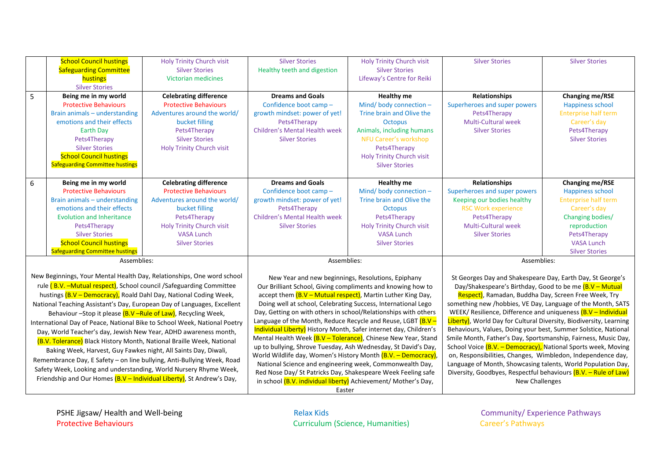|             | <b>School Council hustings</b>         | <b>Holy Trinity Church visit</b> | <b>Silver Stories</b>                | <b>Holy Trinity Church visit</b> | <b>Silver Stories</b>        | <b>Silver Stories</b>       |
|-------------|----------------------------------------|----------------------------------|--------------------------------------|----------------------------------|------------------------------|-----------------------------|
|             | <b>Safeguarding Committee</b>          | <b>Silver Stories</b>            | Healthy teeth and digestion          | <b>Silver Stories</b>            |                              |                             |
|             | hustings                               | Victorian medicines              |                                      | Lifeway's Centre for Reiki       |                              |                             |
|             | <b>Silver Stories</b>                  |                                  |                                      |                                  |                              |                             |
| 5           | Being me in my world                   | <b>Celebrating difference</b>    | <b>Dreams and Goals</b>              | Healthy me                       | Relationships                | <b>Changing me/RSE</b>      |
|             | <b>Protective Behaviours</b>           | <b>Protective Behaviours</b>     | Confidence boot camp -               | Mind/body connection $-$         | Superheroes and super powers | Happiness school            |
|             | Brain animals - understanding          | Adventures around the world/     | growth mindset: power of yet!        | Trine brain and Olive the        | Pets4Therapy                 | <b>Enterprise half term</b> |
|             | emotions and their effects             | bucket filling                   | Pets4Therapy                         | Octopus                          | Multi-Cultural week          | Career's day                |
|             | Earth Day                              | Pets4Therapy                     | <b>Children's Mental Health week</b> | Animals, including humans        | <b>Silver Stories</b>        | Pets4Therapy                |
|             | Pets4Therapy                           | <b>Silver Stories</b>            | <b>Silver Stories</b>                | NFU Career's workshop            |                              | <b>Silver Stories</b>       |
|             | <b>Silver Stories</b>                  | <b>Holy Trinity Church visit</b> |                                      | Pets4Therapy                     |                              |                             |
|             | <b>School Council hustings</b>         |                                  |                                      | <b>Holy Trinity Church visit</b> |                              |                             |
|             | <b>Safeguarding Committee hustings</b> |                                  |                                      | <b>Silver Stories</b>            |                              |                             |
|             |                                        |                                  |                                      |                                  |                              |                             |
| 6           | Being me in my world                   | <b>Celebrating difference</b>    | <b>Dreams and Goals</b>              | Healthy me                       | Relationships                | <b>Changing me/RSE</b>      |
|             | <b>Protective Behaviours</b>           | <b>Protective Behaviours</b>     | Confidence boot camp -               | Mind/body connection $-$         | Superheroes and super powers | Happiness school            |
|             | Brain animals - understanding          | Adventures around the world/     | growth mindset: power of yet!        | Trine brain and Olive the        | Keeping our bodies healthy   | <b>Enterprise half term</b> |
|             | emotions and their effects             | bucket filling                   | Pets4Therapy                         | Octopus                          | <b>RSC Work experience</b>   | Career's day                |
|             | <b>Evolution and Inheritance</b>       | Pets4Therapy                     | <b>Children's Mental Health week</b> | Pets4Therapy                     | Pets4Therapy                 | Changing bodies/            |
|             | Pets4Therapy                           | <b>Holy Trinity Church visit</b> | <b>Silver Stories</b>                | <b>Holy Trinity Church visit</b> | <b>Multi-Cultural week</b>   | reproduction                |
|             | <b>Silver Stories</b>                  | VASA Lunch                       |                                      | VASA Lunch                       | <b>Silver Stories</b>        | Pets4Therapy                |
|             | <b>School Council hustings</b>         | <b>Silver Stories</b>            |                                      | <b>Silver Stories</b>            |                              | <b>VASA Lunch</b>           |
|             | <b>Safeguarding Committee hustings</b> |                                  |                                      |                                  |                              | <b>Silver Stories</b>       |
| Assemblies: |                                        | Assemblies:                      |                                      | Assemblies:                      |                              |                             |

Assemblies:

New Beginnings, Your Mental Health Day, Relationships, One word school rule (B.V. - Mutual respect), School council / Safeguarding Committee hustings (B.V – Democracy), Roald Dahl Day, National Coding Week, National Teaching Assistant's Day, European Day of Languages, Excellent Behaviour –Stop it please (B.V–Rule of Law), Recycling Week, International Day of Peace, National Bike to School Week, National Poetry Day, World Teacher's day, Jewish New Year, ADHD awareness month, (B.V. Tolerance) Black History Month, National Braille Week, National Baking Week, Harvest, Guy Fawkes night, All Saints Day, Diwali,

Remembrance Day, E Safety – on line bullying, Anti-Bullying Week, Road Safety Week, Looking and understanding, World Nursery Rhyme Week, Friendship and Our Homes  $(B.V - Individual Library)$ , St Andrew's Day,

New Year and new beginnings, Resolutions, Epiphany Our Brilliant School, Giving compliments and knowing how to accept them  $(B.V - Mutual respect)$ , Martin Luther King Day, Doing well at school, Celebrating Success, International Lego Day, Getting on with others in school/Relationships with others Language of the Month, Reduce Recycle and Reuse, LGBT  $(B.V -$ Individual Liberty) History Month, Safer internet day, Children's Mental Health Week (B.V - Tolerance), Chinese New Year, Stand up to bullying, Shrove Tuesday, Ash Wednesday, St David's Day, World Wildlife day, Women's History Month (B.V. - Democracy), National Science and engineering week, Commonwealth Day, Red Nose Day/ St Patricks Day, Shakespeare Week Feeling safe in school (B.V. individual liberty) Achievement/ Mother's Day,

St Georges Day and Shakespeare Day, Earth Day, St George's Day/Shakespeare's Birthday, Good to be me (B.V – Mutual

Respect), Ramadan, Buddha Day, Screen Free Week, Try something new /hobbies, VE Day, Language of the Month, SATS WEEK/ Resilience, Difference and uniqueness (B.V – Individual Liberty), World Day for Cultural Diversity, Biodiversity, Learning Behaviours, Values, Doing your best, Summer Solstice, National Smile Month, Father's Day, Sportsmanship, Fairness, Music Day, School Voice (B.V. – Democracy), National Sports week, Moving on, Responsibilities, Changes, Wimbledon, Independence day, Language of Month, Showcasing talents, World Population Day, Diversity, Goodbyes, Respectful behaviours (B.V. – Rule of Law) New Challenges

Easter